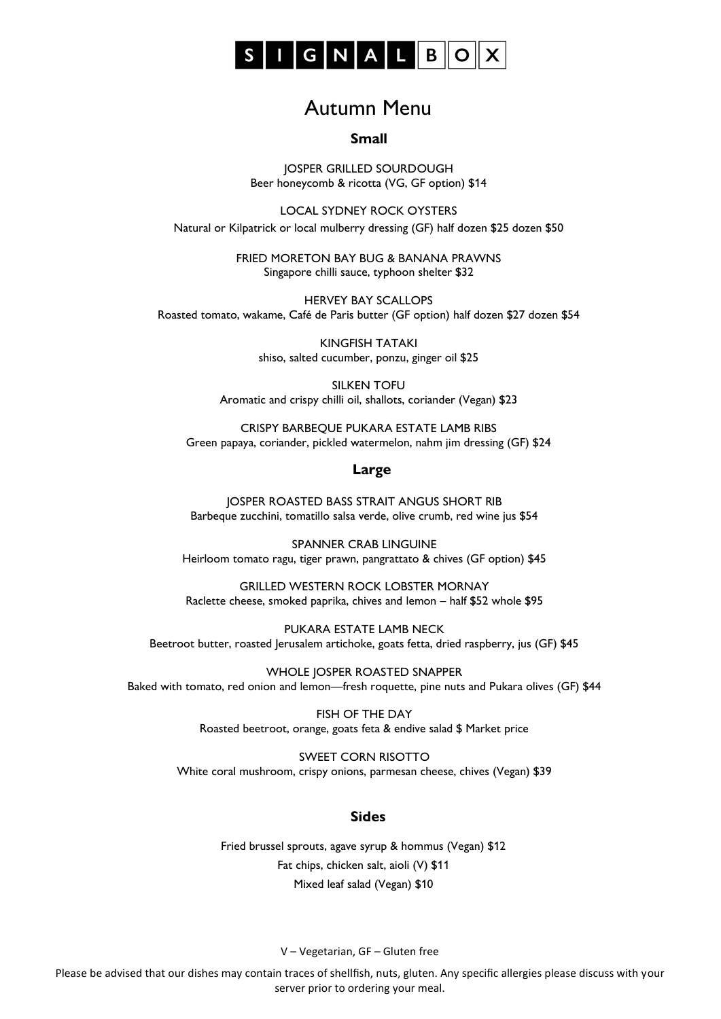

# Autumn Menu

#### **Small**

JOSPER GRILLED SOURDOUGH Beer honeycomb & ricotta (VG, GF option) \$14

LOCAL SYDNEY ROCK OYSTERS Natural or Kilpatrick or local mulberry dressing (GF) half dozen \$25 dozen \$50

> FRIED MORETON BAY BUG & BANANA PRAWNS Singapore chilli sauce, typhoon shelter \$32

HERVEY BAY SCALLOPS Roasted tomato, wakame, Café de Paris butter (GF option) half dozen \$27 dozen \$54

> KINGFISH TATAKI shiso, salted cucumber, ponzu, ginger oil \$25

SILKEN TOFU Aromatic and crispy chilli oil, shallots, coriander (Vegan) \$23

CRISPY BARBEQUE PUKARA ESTATE LAMB RIBS Green papaya, coriander, pickled watermelon, nahm jim dressing (GF) \$24

#### **Large**

JOSPER ROASTED BASS STRAIT ANGUS SHORT RIB Barbeque zucchini, tomatillo salsa verde, olive crumb, red wine jus \$54

SPANNER CRAB LINGUINE Heirloom tomato ragu, tiger prawn, pangrattato & chives (GF option) \$45

GRILLED WESTERN ROCK LOBSTER MORNAY Raclette cheese, smoked paprika, chives and lemon – half \$52 whole \$95

PUKARA ESTATE LAMB NECK Beetroot butter, roasted Jerusalem artichoke, goats fetta, dried raspberry, jus (GF) \$45

WHOLE JOSPER ROASTED SNAPPER Baked with tomato, red onion and lemon—fresh roquette, pine nuts and Pukara olives (GF) \$44

> FISH OF THE DAY Roasted beetroot, orange, goats feta & endive salad \$ Market price

SWEET CORN RISOTTO White coral mushroom, crispy onions, parmesan cheese, chives (Vegan) \$39

## **Sides**

Fried brussel sprouts, agave syrup & hommus (Vegan) \$12 Fat chips, chicken salt, aioli (V) \$11 Mixed leaf salad (Vegan) \$10

V – Vegetarian, GF – Gluten free

Please be advised that our dishes may contain traces of shellfish, nuts, gluten. Any specific allergies please discuss with your server prior to ordering your meal.